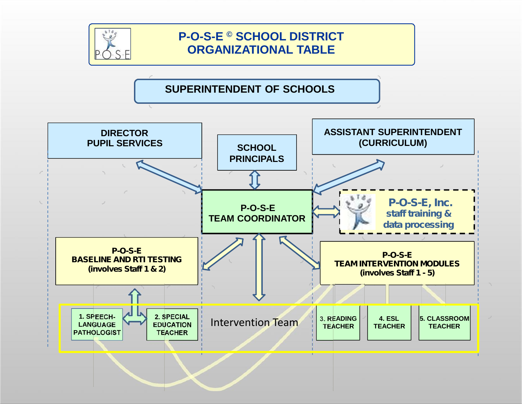

## **P-O-S-E © SCHOOL DISTRICT ORGANIZATIONAL TABLE**

**SUPERINTENDENT OF SCHOOLS**

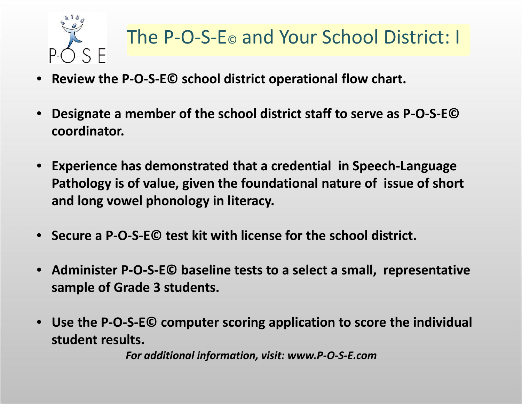

- **Review the P-O-S-E© school district operational flow chart.**
- **Designate a member of the school district staff to serve as P-O-S-E© coordinator.**
- **Experience has demonstrated that a credential in Speech-Language Pathology is of value, given the foundational nature of issue of short and long vowel phonology in literacy.**
- **Secure a P-O-S-E© test kit with license for the school district.**
- **Administer P-O-S-E© baseline tests to a select a small, representative sample of Grade 3 students.**
- **Use the P-O-S-E© computer scoring application to score the individual student results.**

*For additional information, visit: www.P-O-S-E.com*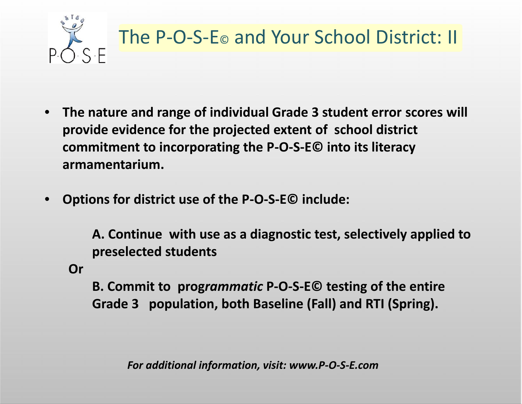

- **The nature and range of individual Grade 3 student error scores will provide evidence for the projected extent of school district commitment to incorporating the P-O-S-E© into its literacy armamentarium.**
- **Options for district use of the P-O-S-E© include:**

**A. Continue with use as a diagnostic test, selectively applied to preselected students**

**Or**

**B. Commit to prog***rammatic* **P-O-S-E© testing of the entire Grade 3 population, both Baseline (Fall) and RTI (Spring).**

*For additional information, visit: www.P-O-S-E.com*